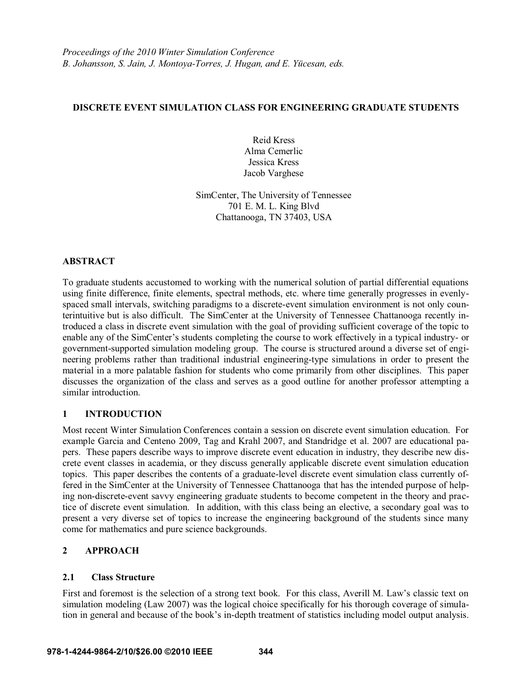## **DISCRETE EVENT SIMULATION CLASS FOR ENGINEERING GRADUATE STUDENTS**

Reid Kress Alma Cemerlic Jessica Kress Jacob Varghese

SimCenter, The University of Tennessee 701 E. M. L. King Blvd Chattanooga, TN 37403, USA

### **ABSTRACT**

To graduate students accustomed to working with the numerical solution of partial differential equations using finite difference, finite elements, spectral methods, etc. where time generally progresses in evenlyspaced small intervals, switching paradigms to a discrete-event simulation environment is not only counterintuitive but is also difficult. The SimCenter at the University of Tennessee Chattanooga recently introduced a class in discrete event simulation with the goal of providing sufficient coverage of the topic to enable any of the SimCenter's students completing the course to work effectively in a typical industry- or government-supported simulation modeling group. The course is structured around a diverse set of engineering problems rather than traditional industrial engineering-type simulations in order to present the material in a more palatable fashion for students who come primarily from other disciplines. This paper discusses the organization of the class and serves as a good outline for another professor attempting a similar introduction.

### **1 INTRODUCTION**

Most recent Winter Simulation Conferences contain a session on discrete event simulation education. For example Garcia and Centeno 2009, Tag and Krahl 2007, and Standridge et al. 2007 are educational papers. These papers describe ways to improve discrete event education in industry, they describe new discrete event classes in academia, or they discuss generally applicable discrete event simulation education topics. This paper describes the contents of a graduate-level discrete event simulation class currently offered in the SimCenter at the University of Tennessee Chattanooga that has the intended purpose of helping non-discrete-event savvy engineering graduate students to become competent in the theory and practice of discrete event simulation. In addition, with this class being an elective, a secondary goal was to present a very diverse set of topics to increase the engineering background of the students since many come for mathematics and pure science backgrounds.

## **2 APPROACH**

### **2.1 Class Structure**

First and foremost is the selection of a strong text book. For this class, Averill M. Law's classic text on simulation modeling (Law 2007) was the logical choice specifically for his thorough coverage of simulation in general and because of the book's in-depth treatment of statistics including model output analysis.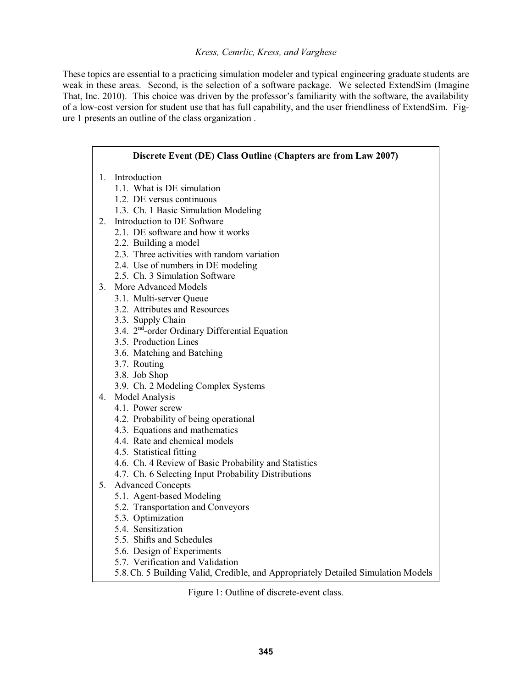### *Kress, Cemrlic, Kress, and Varghese*

These topics are essential to a practicing simulation modeler and typical engineering graduate students are weak in these areas. Second, is the selection of a software package. We selected ExtendSim (Imagine That, Inc. 2010). This choice was driven by the professor's familiarity with the software, the availability of a low-cost version for student use that has full capability, and the user friendliness of ExtendSim. Figure 1 presents an outline of the class organization .

| Discrete Event (DE) Class Outline (Chapters are from Law 2007) |                                                                                   |  |  |
|----------------------------------------------------------------|-----------------------------------------------------------------------------------|--|--|
|                                                                | 1. Introduction                                                                   |  |  |
|                                                                | 1.1. What is DE simulation                                                        |  |  |
|                                                                | 1.2. DE versus continuous                                                         |  |  |
|                                                                | 1.3. Ch. 1 Basic Simulation Modeling                                              |  |  |
|                                                                | 2. Introduction to DE Software                                                    |  |  |
|                                                                | 2.1. DE software and how it works                                                 |  |  |
|                                                                | 2.2. Building a model                                                             |  |  |
|                                                                | 2.3. Three activities with random variation                                       |  |  |
|                                                                | 2.4. Use of numbers in DE modeling                                                |  |  |
|                                                                | 2.5. Ch. 3 Simulation Software                                                    |  |  |
|                                                                | 3. More Advanced Models                                                           |  |  |
|                                                                | 3.1. Multi-server Queue                                                           |  |  |
|                                                                | 3.2. Attributes and Resources                                                     |  |  |
|                                                                | 3.3. Supply Chain                                                                 |  |  |
|                                                                | 3.4. 2 <sup>nd</sup> -order Ordinary Differential Equation                        |  |  |
|                                                                | 3.5. Production Lines                                                             |  |  |
|                                                                | 3.6. Matching and Batching                                                        |  |  |
|                                                                | 3.7. Routing                                                                      |  |  |
|                                                                | 3.8. Job Shop                                                                     |  |  |
|                                                                | 3.9. Ch. 2 Modeling Complex Systems                                               |  |  |
|                                                                | 4. Model Analysis                                                                 |  |  |
|                                                                | 4.1. Power screw                                                                  |  |  |
|                                                                | 4.2. Probability of being operational                                             |  |  |
|                                                                | 4.3. Equations and mathematics                                                    |  |  |
|                                                                | 4.4. Rate and chemical models                                                     |  |  |
|                                                                | 4.5. Statistical fitting                                                          |  |  |
|                                                                | 4.6. Ch. 4 Review of Basic Probability and Statistics                             |  |  |
|                                                                | 4.7. Ch. 6 Selecting Input Probability Distributions                              |  |  |
| 5.                                                             | <b>Advanced Concepts</b>                                                          |  |  |
|                                                                | 5.1. Agent-based Modeling                                                         |  |  |
|                                                                | 5.2. Transportation and Conveyors                                                 |  |  |
|                                                                | 5.3. Optimization                                                                 |  |  |
|                                                                | 5.4. Sensitization                                                                |  |  |
|                                                                | 5.5. Shifts and Schedules                                                         |  |  |
|                                                                | 5.6. Design of Experiments                                                        |  |  |
|                                                                | 5.7. Verification and Validation                                                  |  |  |
|                                                                | 5.8. Ch. 5 Building Valid, Credible, and Appropriately Detailed Simulation Models |  |  |

Figure 1: Outline of discrete-event class.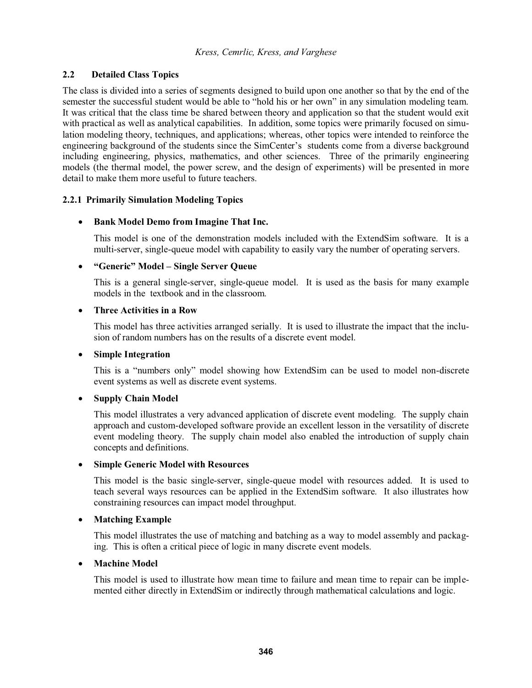## **2.2 Detailed Class Topics**

The class is divided into a series of segments designed to build upon one another so that by the end of the semester the successful student would be able to "hold his or her own" in any simulation modeling team. It was critical that the class time be shared between theory and application so that the student would exit with practical as well as analytical capabilities. In addition, some topics were primarily focused on simulation modeling theory, techniques, and applications; whereas, other topics were intended to reinforce the engineering background of the students since the SimCenter's students come from a diverse background including engineering, physics, mathematics, and other sciences. Three of the primarily engineering models (the thermal model, the power screw, and the design of experiments) will be presented in more detail to make them more useful to future teachers.

### **2.2.1 Primarily Simulation Modeling Topics**

# - **Bank Model Demo from Imagine That Inc.**

 This model is one of the demonstration models included with the ExtendSim software. It is a multi-server, single-queue model with capability to easily vary the number of operating servers.

# **•** "Generic" Model - Single Server Queue

 This is a general single-server, single-queue model. It is used as the basis for many example models in the textbook and in the classroom.

#### -**Three Activities in a Row**

 This model has three activities arranged serially. It is used to illustrate the impact that the inclusion of random numbers has on the results of a discrete event model.

# - **Simple Integration**

This is a "numbers only" model showing how ExtendSim can be used to model non-discrete event systems as well as discrete event systems.

# - **Supply Chain Model**

 This model illustrates a very advanced application of discrete event modeling. The supply chain approach and custom-developed software provide an excellent lesson in the versatility of discrete event modeling theory. The supply chain model also enabled the introduction of supply chain concepts and definitions.

# - **Simple Generic Model with Resources**

 This model is the basic single-server, single-queue model with resources added. It is used to teach several ways resources can be applied in the ExtendSim software. It also illustrates how constraining resources can impact model throughput.

#### $\bullet$ **Matching Example**

 This model illustrates the use of matching and batching as a way to model assembly and packaging. This is often a critical piece of logic in many discrete event models.

#### $\bullet$ **Machine Model**

 This model is used to illustrate how mean time to failure and mean time to repair can be implemented either directly in ExtendSim or indirectly through mathematical calculations and logic.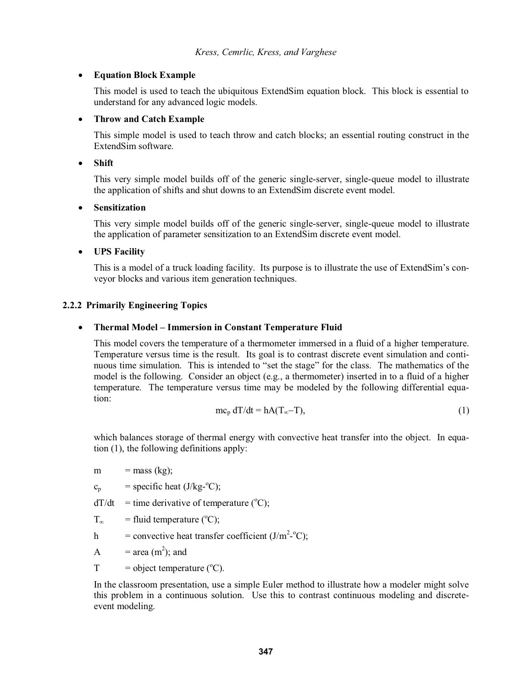# - **Equation Block Example**

 This model is used to teach the ubiquitous ExtendSim equation block. This block is essential to understand for any advanced logic models.

#### $\bullet$ **Throw and Catch Example**

 This simple model is used to teach throw and catch blocks; an essential routing construct in the ExtendSim software.

 $\bullet$ **Shift** 

> This very simple model builds off of the generic single-server, single-queue model to illustrate the application of shifts and shut downs to an ExtendSim discrete event model.

#### $\bullet$ **Sensitization**

 This very simple model builds off of the generic single-server, single-queue model to illustrate the application of parameter sensitization to an ExtendSim discrete event model.

# - **UPS Facility**

This is a model of a truck loading facility. Its purpose is to illustrate the use of ExtendSim's conveyor blocks and various item generation techniques.

## **2.2.2 Primarily Engineering Topics**

#### $\bullet$ **Thermal Model Immersion in Constant Temperature Fluid**

 This model covers the temperature of a thermometer immersed in a fluid of a higher temperature. Temperature versus time is the result. Its goal is to contrast discrete event simulation and continuous time simulation. This is intended to "set the stage" for the class. The mathematics of the model is the following. Consider an object (e.g., a thermometer) inserted in to a fluid of a higher temperature. The temperature versus time may be modeled by the following differential equation:

$$
mc_p dT/dt = hA(T_\infty - T),
$$
\n(1)

which balances storage of thermal energy with convective heat transfer into the object. In equation (1), the following definitions apply:

m  $=$  mass (kg);

 $c_p$  = specific heat (J/kg-°C);

 $dT/dt$  = time derivative of temperature (°C);

 $T_{\infty}$  = fluid temperature (°C);

h = convective heat transfer coefficient  $(J/m^2$ -°C);

A  $=$  area (m<sup>2</sup>); and

 $T = object temperature (°C).$ 

 In the classroom presentation, use a simple Euler method to illustrate how a modeler might solve this problem in a continuous solution. Use this to contrast continuous modeling and discreteevent modeling.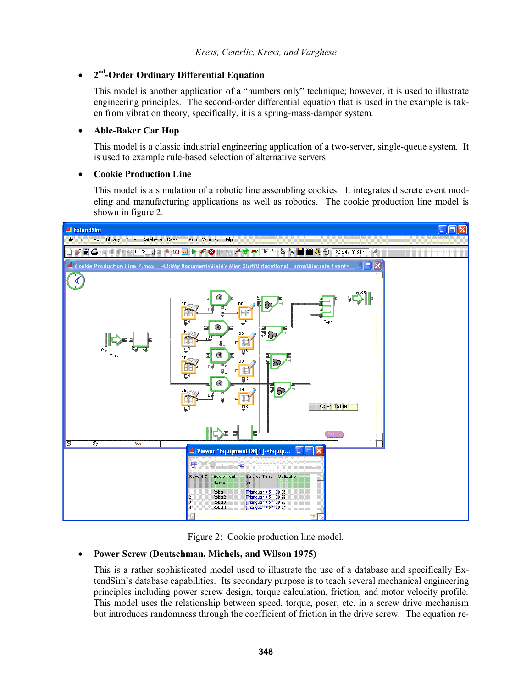#### -**2nd-Order Ordinary Differential Equation**

This model is another application of a "numbers only" technique; however, it is used to illustrate engineering principles. The second-order differential equation that is used in the example is taken from vibration theory, specifically, it is a spring-mass-damper system.

#### $\bullet$ **Able-Baker Car Hop**

 This model is a classic industrial engineering application of a two-server, single-queue system. It is used to example rule-based selection of alternative servers.

#### $\bullet$ **Cookie Production Line**

 This model is a simulation of a robotic line assembling cookies. It integrates discrete event modeling and manufacturing applications as well as robotics. The cookie production line model is shown in figure 2.



Figure 2: Cookie production line model.

#### $\bullet$ **Power Screw (Deutschman, Michels, and Wilson 1975)**

 This is a rather sophisticated model used to illustrate the use of a database and specifically Ex tendSim's database capabilities. Its secondary purpose is to teach several mechanical engineering principles including power screw design, torque calculation, friction, and motor velocity profile. This model uses the relationship between speed, torque, poser, etc. in a screw drive mechanism but introduces randomness through the coefficient of friction in the drive screw. The equation re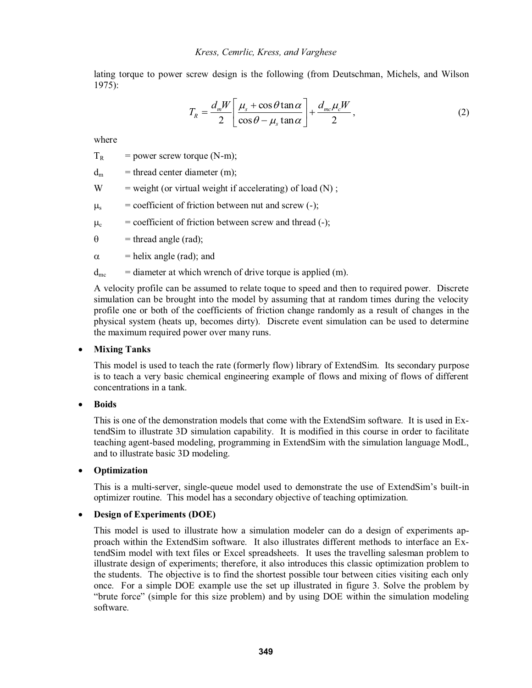lating torque to power screw design is the following (from Deutschman, Michels, and Wilson 1975):

$$
T_R = \frac{d_m W}{2} \left[ \frac{\mu_s + \cos \theta \tan \alpha}{\cos \theta - \mu_s \tan \alpha} \right] + \frac{d_{mc} \mu_c W}{2},
$$
 (2)

where

 $T_R$  = power screw torque (N-m);

 $d_m$  = thread center diameter (m);

 $W = weight (or virtual weight if accelerating) of load (N);$ 

 $\mu_s$  = coefficient of friction between nut and screw (-);

 $\mu_c$  = coefficient of friction between screw and thread (-);

 $\theta$ = thread angle (rad);

 $\alpha$  = helix angle (rad); and

 $d_{\text{mc}}$  = diameter at which wrench of drive torque is applied (m).

 A velocity profile can be assumed to relate toque to speed and then to required power. Discrete simulation can be brought into the model by assuming that at random times during the velocity profile one or both of the coefficients of friction change randomly as a result of changes in the physical system (heats up, becomes dirty). Discrete event simulation can be used to determine the maximum required power over many runs.

# - **Mixing Tanks**

 This model is used to teach the rate (formerly flow) library of ExtendSim. Its secondary purpose is to teach a very basic chemical engineering example of flows and mixing of flows of different concentrations in a tank.

 $\bullet$ **Boids** 

> This is one of the demonstration models that come with the ExtendSim software. It is used in ExtendSim to illustrate 3D simulation capability. It is modified in this course in order to facilitate teaching agent-based modeling, programming in ExtendSim with the simulation language ModL, and to illustrate basic 3D modeling.

#### $\bullet$ **Optimization**

This is a multi-server, single-queue model used to demonstrate the use of ExtendSim's built-in optimizer routine. This model has a secondary objective of teaching optimization.

# - **Design of Experiments (DOE)**

 This model is used to illustrate how a simulation modeler can do a design of experiments approach within the ExtendSim software. It also illustrates different methods to interface an ExtendSim model with text files or Excel spreadsheets. It uses the travelling salesman problem to illustrate design of experiments; therefore, it also introduces this classic optimization problem to the students. The objective is to find the shortest possible tour between cities visiting each only once. For a simple DOE example use the set up illustrated in figure 3. Solve the problem by "brute force" (simple for this size problem) and by using DOE within the simulation modeling software.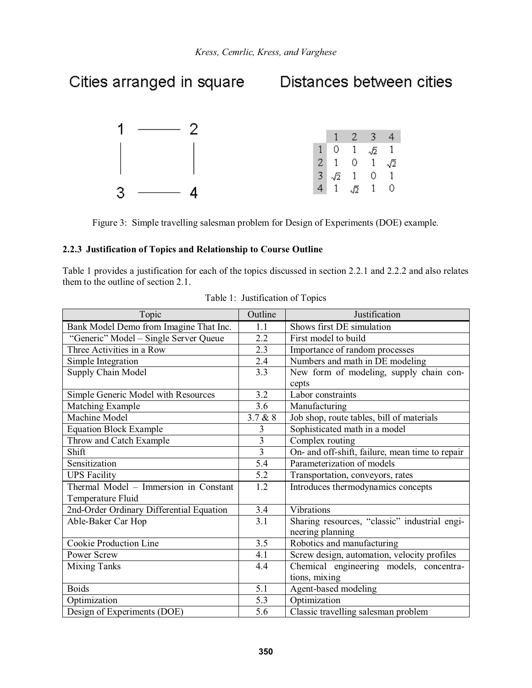

Figure 3: Simple travelling salesman problem for Design of Experiments (DOE) example.

### **2.2.3 Justification of Topics and Relationship to Course Outline**

Table 1 provides a justification for each of the topics discussed in section 2.2.1 and 2.2.2 and also relates them to the outline of section 2.1.

| Topic                                                      | Outline        | Justification                                                     |  |
|------------------------------------------------------------|----------------|-------------------------------------------------------------------|--|
| Bank Model Demo from Imagine That Inc.                     | 1.1            | Shows first DE simulation                                         |  |
| "Generic" Model - Single Server Queue                      | 2.2            | First model to build                                              |  |
| Three Activities in a Row                                  | 2.3            | Importance of random processes                                    |  |
| Simple Integration                                         | 2.4            | Numbers and math in DE modeling                                   |  |
| Supply Chain Model                                         | 3.3            | New form of modeling, supply chain con-                           |  |
| Simple Generic Model with Resources                        | 3.2            | cepts<br>Labor constraints                                        |  |
| Matching Example                                           | 3.6            |                                                                   |  |
| Machine Model                                              | 3.7 & 8        | Manufacturing                                                     |  |
|                                                            |                | Job shop, route tables, bill of materials                         |  |
| <b>Equation Block Example</b>                              | 3              | Sophisticated math in a model                                     |  |
| Throw and Catch Example                                    | 3              | Complex routing                                                   |  |
| Shift                                                      | $\overline{3}$ | On- and off-shift, failure, mean time to repair                   |  |
| Sensitization                                              | 5.4            | Parameterization of models                                        |  |
| <b>UPS Facility</b>                                        | 5.2            | Transportation, conveyors, rates                                  |  |
| Thermal Model - Immersion in Constant<br>Temperature Fluid | 1.2            | Introduces thermodynamics concepts                                |  |
| 2nd-Order Ordinary Differential Equation                   | 3.4            | Vibrations                                                        |  |
| Able-Baker Car Hop                                         | 3.1            | Sharing resources, "classic" industrial engi-<br>neering planning |  |
| <b>Cookie Production Line</b>                              | 3.5            | Robotics and manufacturing                                        |  |
| <b>Power Screw</b>                                         | 4.1            | Screw design, automation, velocity profiles                       |  |
| <b>Mixing Tanks</b>                                        | 4.4            | Chemical engineering models, concentra-                           |  |
|                                                            |                | tions, mixing                                                     |  |
| <b>Boids</b>                                               | 5.1            | Agent-based modeling                                              |  |
| Optimization                                               | 5.3            | Optimization                                                      |  |
| Design of Experiments (DOE)                                | 5.6            | Classic travelling salesman problem                               |  |

|  | Table 1: Justification of Topics |  |
|--|----------------------------------|--|
|--|----------------------------------|--|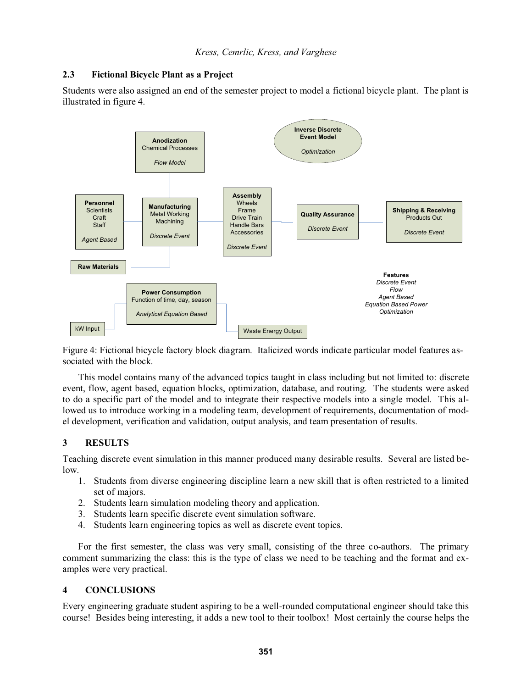## **2.3 Fictional Bicycle Plant as a Project**

Students were also assigned an end of the semester project to model a fictional bicycle plant. The plant is illustrated in figure 4.



Figure 4: Fictional bicycle factory block diagram. Italicized words indicate particular model features associated with the block.

 This model contains many of the advanced topics taught in class including but not limited to: discrete event, flow, agent based, equation blocks, optimization, database, and routing. The students were asked to do a specific part of the model and to integrate their respective models into a single model. This allowed us to introduce working in a modeling team, development of requirements, documentation of model development, verification and validation, output analysis, and team presentation of results.

## **3 RESULTS**

Teaching discrete event simulation in this manner produced many desirable results. Several are listed below.

- 1. Students from diverse engineering discipline learn a new skill that is often restricted to a limited set of majors.
- 2. Students learn simulation modeling theory and application.
- 3. Students learn specific discrete event simulation software.
- 4. Students learn engineering topics as well as discrete event topics.

 For the first semester, the class was very small, consisting of the three co-authors. The primary comment summarizing the class: this is the type of class we need to be teaching and the format and examples were very practical.

## **4 CONCLUSIONS**

Every engineering graduate student aspiring to be a well-rounded computational engineer should take this course! Besides being interesting, it adds a new tool to their toolbox! Most certainly the course helps the